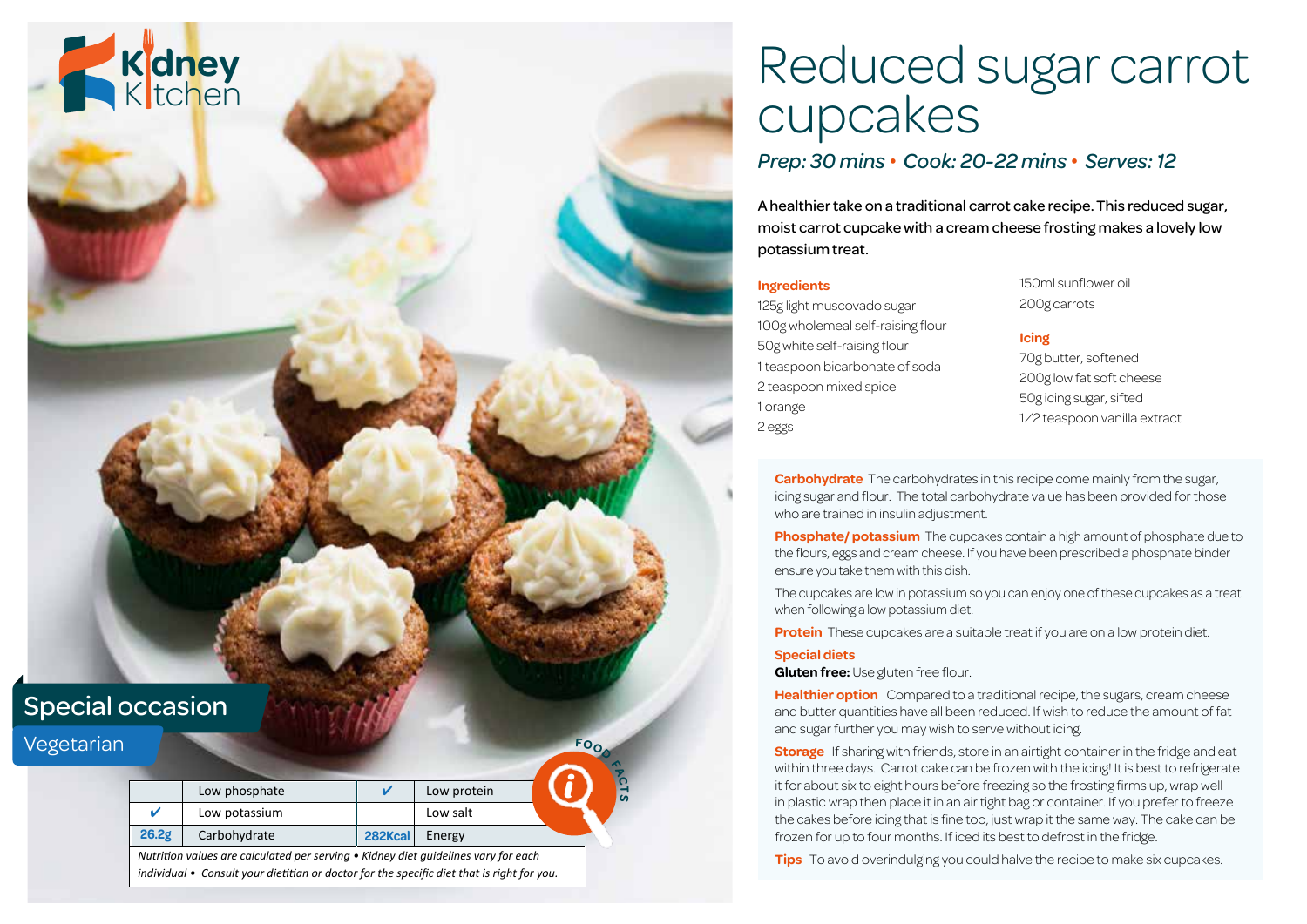

# Reduced sugar carrot cupcakes

### *Prep: 30 mins • Cook: 20-22 mins • Serves: 12*

A healthier take on a traditional carrot cake recipe. This reduced sugar, moist carrot cupcake with a cream cheese frosting makes a lovely low potassium treat.

#### **Ingredients**

125g light muscovado sugar 100g wholemeal self-raising flour 50g white self-raising flour 1 teaspoon bicarbonate of soda 2 teaspoon mixed spice 1 orange 2 eggs

150ml sunflower oil 200g carrots

#### **Icing**

70g butter, softened 200g low fat soft cheese 50g icing sugar, sifted ½ teaspoon vanilla extract

**Carbohydrate** The carbohydrates in this recipe come mainly from the sugar, icing sugar and flour. The total carbohydrate value has been provided for those who are trained in insulin adjustment.

**Phosphate/ potassium** The cupcakes contain a high amount of phosphate due to the flours, eggs and cream cheese. If you have been prescribed a phosphate binder ensure you take them with this dish.

The cupcakes are low in potassium so you can enjoy one of these cupcakes as a treat when following a low potassium diet.

**Protein** These cupcakes are a suitable treat if you are on a low protein diet.

#### **Special diets**

**Gluten free:** Use gluten free flour.

**Healthier option** Compared to a traditional recipe, the sugars, cream cheese and butter quantities have all been reduced. If wish to reduce the amount of fat and sugar further you may wish to serve without icing.

**Storage** If sharing with friends, store in an airtight container in the fridge and eat within three days. Carrot cake can be frozen with the icing! It is best to refrigerate it for about six to eight hours before freezing so the frosting firms up, wrap well in plastic wrap then place it in an air tight bag or container. If you prefer to freeze the cakes before icing that is fine too, just wrap it the same way. The cake can be frozen for up to four months. If iced its best to defrost in the fridge.

**Tips** To avoid overindulging you could halve the recipe to make six cupcakes.

|                                                                                            | Low phosphate |         | Low protein |  | ທ່ |  |
|--------------------------------------------------------------------------------------------|---------------|---------|-------------|--|----|--|
|                                                                                            | Low potassium |         | Low salt    |  |    |  |
| 26.2g                                                                                      | Carbohydrate  | 282Kcal | Energy      |  |    |  |
| Nutrition values are calculated per serving • Kidney diet quidelines vary for each         |               |         |             |  |    |  |
| individual • Consult your dietitian or doctor for the specific diet that is right for you. |               |         |             |  |    |  |